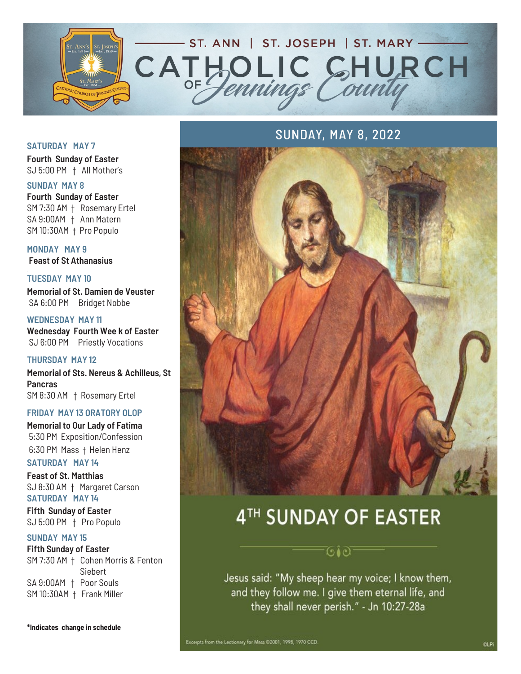

#### **SATURDAY MAY 7**

**Fourth Sunday of Easter** SJ 5:00 PM † All Mother's

#### **SUNDAY MAY 8**

**Fourth Sunday of Easter** SM 7:30 AM † Rosemary Ertel SA 9:00AM † Ann Matern SM 10:30AM † Pro Populo

**MONDAY MAY 9 Feast of St Athanasius** 

**TUESDAY MAY 10**

**Memorial of St. Damien de Veuster** SA 6:00 PM Bridget Nobbe

**WEDNESDAY MAY 11 Wednesday Fourth Wee k of Easter** SJ 6:00 PM Priestly Vocations

#### **THURSDAY MAY 12**

**Memorial of Sts. Nereus & Achilleus, St Pancras** SM 8:30 AM † Rosemary Ertel

#### **FRIDAY MAY 13 ORATORY OLOP**

**Memorial to Our Lady of Fatima** 5:30 PM Exposition/Confession 6:30 PM Mass † Helen Henz

### **SATURDAY MAY 14**

**Feast of St. Matthias** SJ 8:30 AM † Margaret Carson **SATURDAY MAY 14**

**Fifth Sunday of Easter** SJ 5:00 PM † Pro Populo

#### **SUNDAY MAY 15**

**Fifth Sunday of Easter** SM 7:30 AM † Cohen Morris & Fenton Siebert SA 9:00AM † Poor Souls SM 10:30AM † Frank Miller

### SUNDAY, MAY 8, 2022



# 4TH SUNDAY OF EASTER

್∂∂್

Jesus said: "My sheep hear my voice; I know them, and they follow me. I give them eternal life, and they shall never perish." - Jn 10:27-28a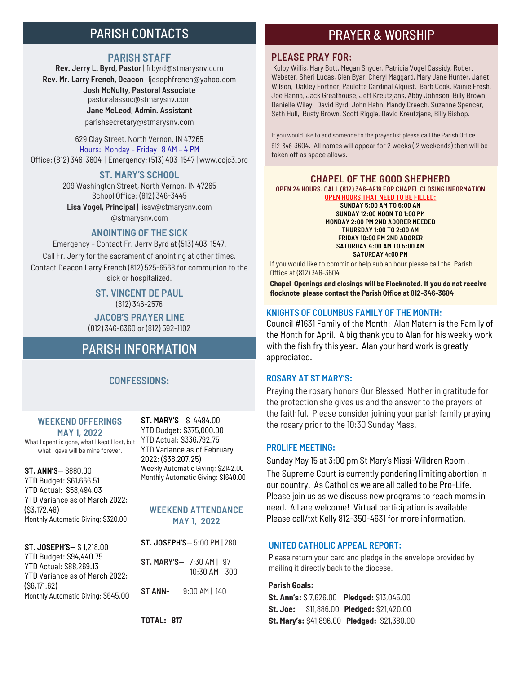## PARISH CONTACTS

#### **PARISH STAFF**

**Rev. Jerry L. Byrd, Pastor** | frbyrd@stmarysnv.com **Rev. Mr. Larry French, Deacon** | ljosephfrench@yahoo.com **Josh McNulty, Pastoral Associate**  pastoralassoc@stmarysnv.com **Jane McLeod, Admin. Assistant** parishsecretary@stmarysnv.com

629 Clay Street, North Vernon, IN 47265 Hours: Monday – Friday | 8 AM – 4 PM Office: (812) 346-3604 | Emergency: (513) 403-1547 | www.ccjc3.org

#### **ST. MARY'S SCHOOL**

209 Washington Street, North Vernon, IN 47265 School Office: (812) 346-3445 **Lisa Vogel, Principal** | lisav@stmarysnv.com @stmarysnv.com

#### **ANOINTING OF THE SICK**

Emergency – Contact Fr. Jerry Byrd at (513) 403-1547. Call Fr. Jerry for the sacrament of anointing at other times. Contact Deacon Larry French (812) 525-6568 for communion to the sick or hospitalized.

> **ST. VINCENT DE PAUL** (812) 346-2576

**JACOB'S PRAYER LINE** (812) 346-6360 or (812) 592-1102

## PARISH INFORMATION

#### **CONFESSIONS:**

#### **WEEKEND OFFERINGS MAY 1, 2022**

What I spent is gone, what I kept I lost, but what I gave will be mine forever.

**ST. ANN'S**— \$880.00 YTD Budget: \$61,666.51 YTD Actual: \$58,494.03 YTD Variance as of March 2022: (\$3,172.48) Monthly Automatic Giving: \$320.00

#### **ST. JOSEPH'S**— \$ 1,218.00 YTD Budget: \$94,440.75 YTD Actual: \$88,269.13 YTD Variance as of March 2022: (\$6,171.62) Monthly Automatic Giving: \$645.00

**ST. MARY'S**— \$ 4484.00 YTD Budget: \$375,000.00 YTD Actual: \$336,792.75 YTD Variance as of February 2022: (\$38,207.25) Weekly Automatic Giving: \$2142.00 Monthly Automatic Giving: \$1640.00

#### **WEEKEND ATTENDANCE MAY 1, 2022**

**ST. JOSEPH'S**— 5:00 PM | 280

**ST. MARY'S**— 7:30 AM | 97 10:30 AM | 300 **ST ANN-** 9:00 AM | 140

#### **TOTAL: 817**

### PRAYER & WORSHIP

#### **PLEASE PRAY FOR:**

Kolby Willis, Mary Bott, Megan Snyder, Patricia Vogel Cassidy, Robert Webster, Sheri Lucas, Glen Byar, Cheryl Maggard, Mary Jane Hunter, Janet Wilson, Oakley Fortner, Paulette Cardinal Alquist, Barb Cook, Rainie Fresh, Joe Hanna, Jack Greathouse, Jeff Kreutzjans, Abby Johnson, Billy Brown, Danielle Wiley, David Byrd, John Hahn, Mandy Creech, Suzanne Spencer, Seth Hull, Rusty Brown, Scott Riggle, David Kreutzjans, Billy Bishop.

If you would like to add someone to the prayer list please call the Parish Office 812-346-3604. All names will appear for 2 weeks ( 2 weekends) then will be taken off as space allows.

#### **CHAPEL OF THE GOOD SHEPHERD**

**OPEN 24 HOURS. CALL (812) 346-4919 FOR CHAPEL CLOSING INFORMATION** 

**OPEN HOURS THAT NEED TO BE FILLED: SUNDAY 5:00 AM TO 6:00 AM SUNDAY 12:00 NOON TO 1:00 PM MONDAY 2:00 PM 2ND ADORER NEEDED THURSDAY 1:00 TO 2:00 AM FRIDAY 10:00 PM 2ND ADORER SATURDAY 4:00 AM TO 5:00 AM SATURDAY 4:00 PM** 

If you would like to commit or help sub an hour please call the Parish Office at (812) 346-3604.

**Chapel Openings and closings will be Flocknoted. If you do not receive flocknote please contact the Parish Office at 812-346-3604**

#### **KNIGHTS OF COLUMBUS FAMILY OF THE MONTH:**

Council #1631 Family of the Month: Alan Matern is the Family of the Month for April. A big thank you to Alan for his weekly work with the fish fry this year. Alan your hard work is greatly appreciated.

#### **ROSARY AT ST MARY'S:**

Praying the rosary honors Our Blessed Mother in gratitude for the protection she gives us and the answer to the prayers of the faithful. Please consider joining your parish family praying the rosary prior to the 10:30 Sunday Mass.

#### **PROLIFE MEETING:**

Sunday May 15 at 3:00 pm St Mary's Missi-Wildren Room . The Supreme Court is currently pondering limiting abortion in our country. As Catholics we are all called to be Pro-Life. Please join us as we discuss new programs to reach moms in need. All are welcome! Virtual participation is available. Please call/txt Kelly 812-350-4631 for more information.

#### **UNITED CATHOLIC APPEAL REPORT:**

Please return your card and pledge in the envelope provided by mailing it directly back to the diocese.

#### **Parish Goals:**

**St. Ann's:** \$ 7,626.00 **Pledged:** \$13,045.00 **St. Joe:** \$11,886.00 **Pledged:** \$21,420.00 **St. Mary's:** \$41,896.00 **Pledged:** \$21,380.00